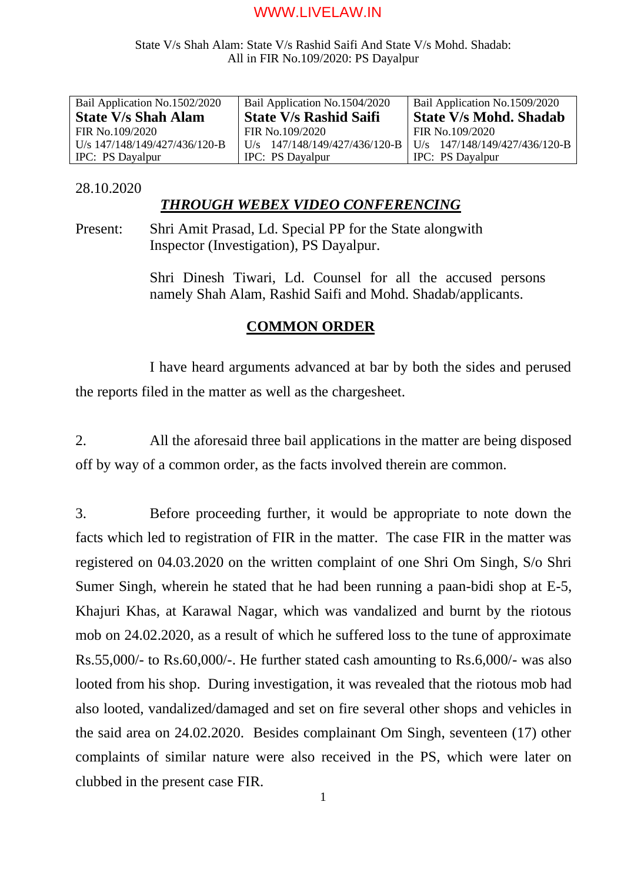# State V/s Shah Alam: State V/s Rashid Saifi And State V/s Mohd. Shadab: All in FIR No.109/2020: PS Dayalpur

| Bail Application No.1502/2020 | Bail Application No.1504/2020 | Bail Application No.1509/2020 |
|-------------------------------|-------------------------------|-------------------------------|
| <b>State V/s Shah Alam</b>    | <b>State V/s Rashid Saifi</b> | <b>State V/s Mohd. Shadab</b> |
| FIR No.109/2020               | FIR No.109/2020               | FIR No.109/2020               |
| U/s 147/148/149/427/436/120-B | U/s 147/148/149/427/436/120-B | U/s 147/148/149/427/436/120-B |
| IPC: PS Dayalpur              | <b>IPC:</b> PS Dayalpur       | IPC: PS Dayalpur              |

# 28.10.2020

# *THROUGH WEBEX VIDEO CONFERENCING*

Present: Shri Amit Prasad, Ld. Special PP for the State alongwith Inspector (Investigation), PS Dayalpur.

> Shri Dinesh Tiwari, Ld. Counsel for all the accused persons namely Shah Alam, Rashid Saifi and Mohd. Shadab/applicants.

# **COMMON ORDER**

I have heard arguments advanced at bar by both the sides and perused the reports filed in the matter as well as the chargesheet.

2. All the aforesaid three bail applications in the matter are being disposed off by way of a common order, as the facts involved therein are common.

3. Before proceeding further, it would be appropriate to note down the facts which led to registration of FIR in the matter. The case FIR in the matter was registered on 04.03.2020 on the written complaint of one Shri Om Singh, S/o Shri Sumer Singh, wherein he stated that he had been running a paan-bidi shop at E-5, Khajuri Khas, at Karawal Nagar, which was vandalized and burnt by the riotous mob on 24.02.2020, as a result of which he suffered loss to the tune of approximate Rs.55,000/- to Rs.60,000/-. He further stated cash amounting to Rs.6,000/- was also looted from his shop. During investigation, it was revealed that the riotous mob had also looted, vandalized/damaged and set on fire several other shops and vehicles in the said area on 24.02.2020. Besides complainant Om Singh, seventeen (17) other complaints of similar nature were also received in the PS, which were later on clubbed in the present case FIR.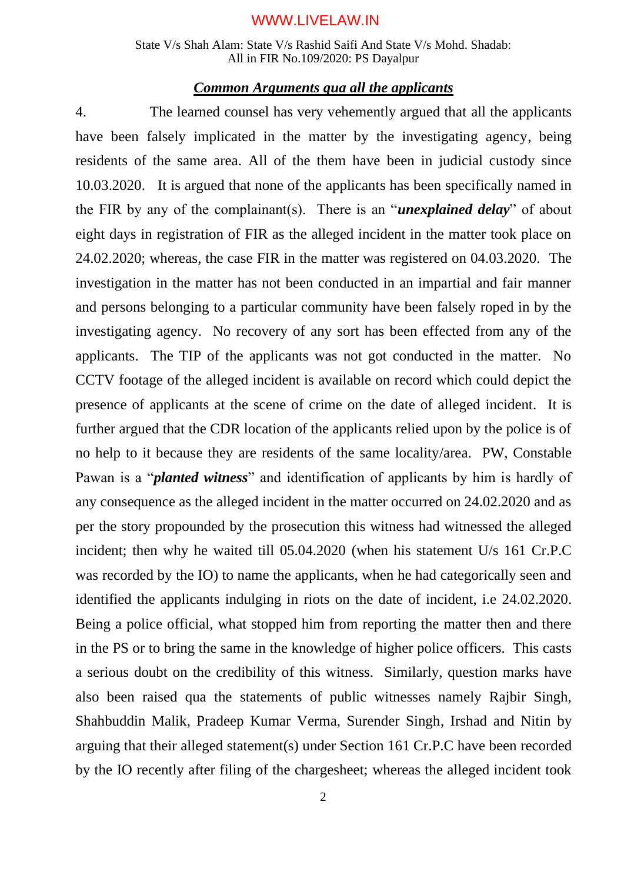State V/s Shah Alam: State V/s Rashid Saifi And State V/s Mohd. Shadab: All in FIR No.109/2020: PS Dayalpur

# *Common Arguments qua all the applicants*

4. The learned counsel has very vehemently argued that all the applicants have been falsely implicated in the matter by the investigating agency, being residents of the same area. All of the them have been in judicial custody since 10.03.2020. It is argued that none of the applicants has been specifically named in the FIR by any of the complainant(s). There is an "*unexplained delay*" of about eight days in registration of FIR as the alleged incident in the matter took place on 24.02.2020; whereas, the case FIR in the matter was registered on 04.03.2020. The investigation in the matter has not been conducted in an impartial and fair manner and persons belonging to a particular community have been falsely roped in by the investigating agency. No recovery of any sort has been effected from any of the applicants. The TIP of the applicants was not got conducted in the matter. No CCTV footage of the alleged incident is available on record which could depict the presence of applicants at the scene of crime on the date of alleged incident. It is further argued that the CDR location of the applicants relied upon by the police is of no help to it because they are residents of the same locality/area. PW, Constable Pawan is a "*planted witness*" and identification of applicants by him is hardly of any consequence as the alleged incident in the matter occurred on 24.02.2020 and as per the story propounded by the prosecution this witness had witnessed the alleged incident; then why he waited till 05.04.2020 (when his statement U/s 161 Cr.P.C was recorded by the IO) to name the applicants, when he had categorically seen and identified the applicants indulging in riots on the date of incident, i.e 24.02.2020. Being a police official, what stopped him from reporting the matter then and there in the PS or to bring the same in the knowledge of higher police officers. This casts a serious doubt on the credibility of this witness. Similarly, question marks have also been raised qua the statements of public witnesses namely Rajbir Singh, Shahbuddin Malik, Pradeep Kumar Verma, Surender Singh, Irshad and Nitin by arguing that their alleged statement(s) under Section 161 Cr.P.C have been recorded by the IO recently after filing of the chargesheet; whereas the alleged incident took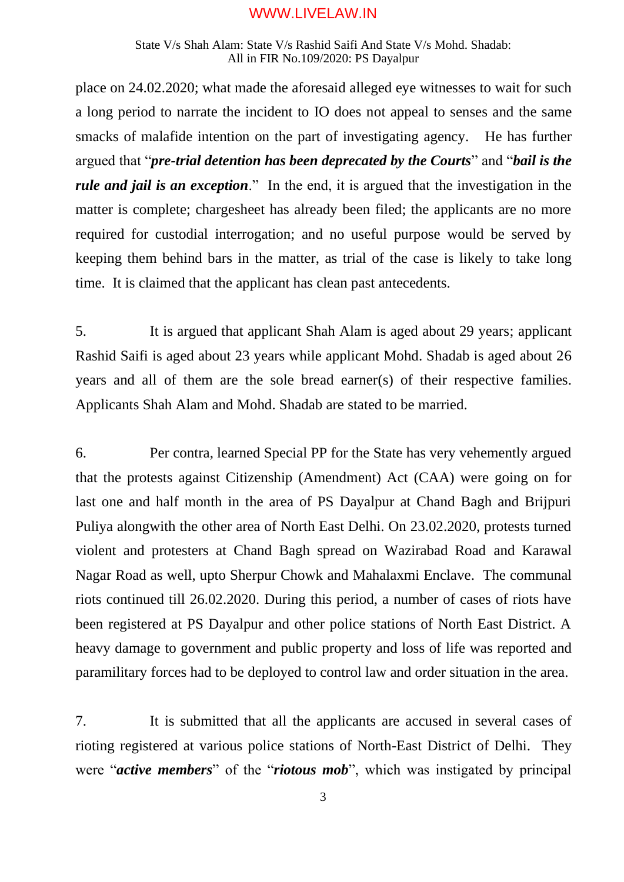### State V/s Shah Alam: State V/s Rashid Saifi And State V/s Mohd. Shadab: All in FIR No.109/2020: PS Dayalpur

place on 24.02.2020; what made the aforesaid alleged eye witnesses to wait for such a long period to narrate the incident to IO does not appeal to senses and the same smacks of malafide intention on the part of investigating agency. He has further argued that "*pre-trial detention has been deprecated by the Courts*" and "*bail is the rule and jail is an exception*." In the end, it is argued that the investigation in the matter is complete; chargesheet has already been filed; the applicants are no more required for custodial interrogation; and no useful purpose would be served by keeping them behind bars in the matter, as trial of the case is likely to take long time. It is claimed that the applicant has clean past antecedents.

5. It is argued that applicant Shah Alam is aged about 29 years; applicant Rashid Saifi is aged about 23 years while applicant Mohd. Shadab is aged about 26 years and all of them are the sole bread earner(s) of their respective families. Applicants Shah Alam and Mohd. Shadab are stated to be married.

6. Per contra, learned Special PP for the State has very vehemently argued that the protests against Citizenship (Amendment) Act (CAA) were going on for last one and half month in the area of PS Dayalpur at Chand Bagh and Brijpuri Puliya alongwith the other area of North East Delhi. On 23.02.2020, protests turned violent and protesters at Chand Bagh spread on Wazirabad Road and Karawal Nagar Road as well, upto Sherpur Chowk and Mahalaxmi Enclave. The communal riots continued till 26.02.2020. During this period, a number of cases of riots have been registered at PS Dayalpur and other police stations of North East District. A heavy damage to government and public property and loss of life was reported and paramilitary forces had to be deployed to control law and order situation in the area.

7. It is submitted that all the applicants are accused in several cases of rioting registered at various police stations of North-East District of Delhi. They were "*active members*" of the "*riotous mob*", which was instigated by principal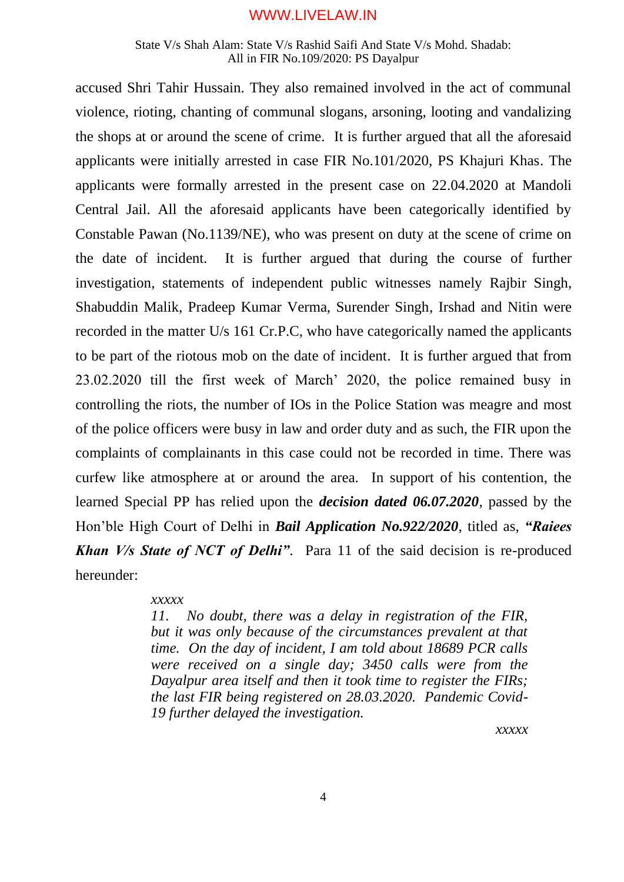#### State V/s Shah Alam: State V/s Rashid Saifi And State V/s Mohd. Shadab: All in FIR No.109/2020: PS Dayalpur

accused Shri Tahir Hussain. They also remained involved in the act of communal violence, rioting, chanting of communal slogans, arsoning, looting and vandalizing the shops at or around the scene of crime. It is further argued that all the aforesaid applicants were initially arrested in case FIR No.101/2020, PS Khajuri Khas. The applicants were formally arrested in the present case on 22.04.2020 at Mandoli Central Jail. All the aforesaid applicants have been categorically identified by Constable Pawan (No.1139/NE), who was present on duty at the scene of crime on the date of incident. It is further argued that during the course of further investigation, statements of independent public witnesses namely Rajbir Singh, Shabuddin Malik, Pradeep Kumar Verma, Surender Singh, Irshad and Nitin were recorded in the matter U/s 161 Cr.P.C, who have categorically named the applicants to be part of the riotous mob on the date of incident. It is further argued that from 23.02.2020 till the first week of March' 2020, the police remained busy in controlling the riots, the number of IOs in the Police Station was meagre and most of the police officers were busy in law and order duty and as such, the FIR upon the complaints of complainants in this case could not be recorded in time. There was curfew like atmosphere at or around the area. In support of his contention, the learned Special PP has relied upon the *decision dated 06.07.2020*, passed by the Hon'ble High Court of Delhi in *Bail Application No.922/2020*, titled as, *"Raiees Khan V/s State of NCT of Delhi"*. Para 11 of the said decision is re-produced hereunder:

#### *xxxxx*

*11. No doubt, there was a delay in registration of the FIR, but it was only because of the circumstances prevalent at that time. On the day of incident, I am told about 18689 PCR calls were received on a single day; 3450 calls were from the Dayalpur area itself and then it took time to register the FIRs; the last FIR being registered on 28.03.2020. Pandemic Covid-19 further delayed the investigation.*

*xxxxx*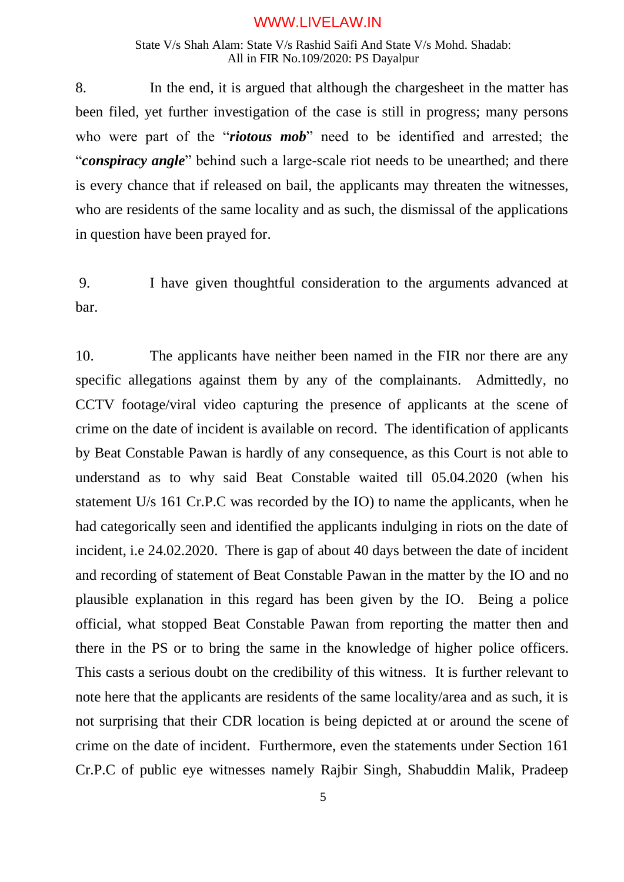State V/s Shah Alam: State V/s Rashid Saifi And State V/s Mohd. Shadab: All in FIR No.109/2020: PS Dayalpur

8. In the end, it is argued that although the chargesheet in the matter has been filed, yet further investigation of the case is still in progress; many persons who were part of the "*riotous mob*" need to be identified and arrested; the "*conspiracy angle*" behind such a large-scale riot needs to be unearthed; and there is every chance that if released on bail, the applicants may threaten the witnesses, who are residents of the same locality and as such, the dismissal of the applications in question have been prayed for.

9. I have given thoughtful consideration to the arguments advanced at bar.

10. The applicants have neither been named in the FIR nor there are any specific allegations against them by any of the complainants. Admittedly, no CCTV footage/viral video capturing the presence of applicants at the scene of crime on the date of incident is available on record. The identification of applicants by Beat Constable Pawan is hardly of any consequence, as this Court is not able to understand as to why said Beat Constable waited till 05.04.2020 (when his statement U/s 161 Cr.P.C was recorded by the IO) to name the applicants, when he had categorically seen and identified the applicants indulging in riots on the date of incident, i.e 24.02.2020. There is gap of about 40 days between the date of incident and recording of statement of Beat Constable Pawan in the matter by the IO and no plausible explanation in this regard has been given by the IO. Being a police official, what stopped Beat Constable Pawan from reporting the matter then and there in the PS or to bring the same in the knowledge of higher police officers. This casts a serious doubt on the credibility of this witness. It is further relevant to note here that the applicants are residents of the same locality/area and as such, it is not surprising that their CDR location is being depicted at or around the scene of crime on the date of incident. Furthermore, even the statements under Section 161 Cr.P.C of public eye witnesses namely Rajbir Singh, Shabuddin Malik, Pradeep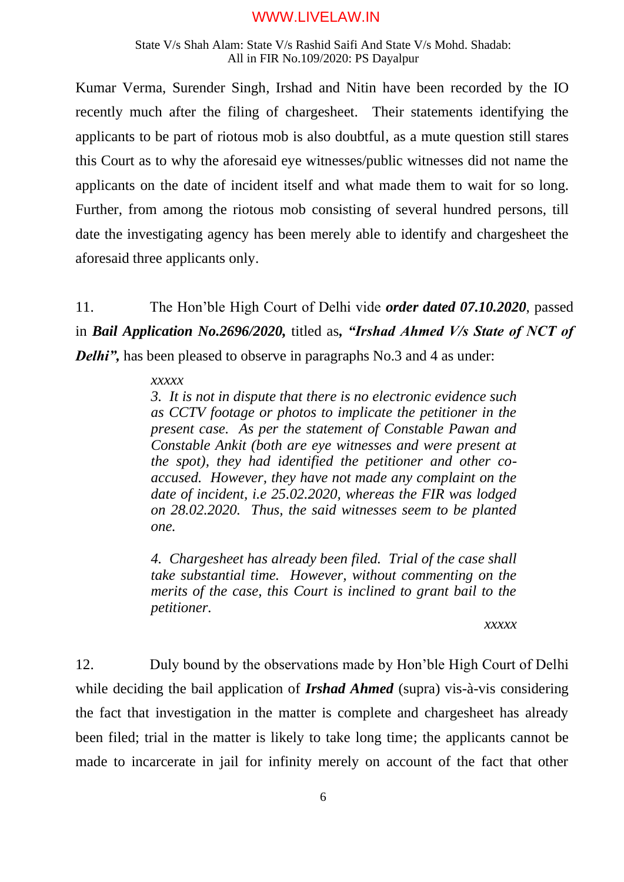#### State V/s Shah Alam: State V/s Rashid Saifi And State V/s Mohd. Shadab: All in FIR No.109/2020: PS Dayalpur

Kumar Verma, Surender Singh, Irshad and Nitin have been recorded by the IO recently much after the filing of chargesheet. Their statements identifying the applicants to be part of riotous mob is also doubtful, as a mute question still stares this Court as to why the aforesaid eye witnesses/public witnesses did not name the applicants on the date of incident itself and what made them to wait for so long. Further, from among the riotous mob consisting of several hundred persons, till date the investigating agency has been merely able to identify and chargesheet the aforesaid three applicants only.

11. The Hon'ble High Court of Delhi vide *order dated 07.10.2020*, passed in *Bail Application No.2696/2020,* titled as*, "Irshad Ahmed V/s State of NCT of Delhi"*, has been pleased to observe in paragraphs No.3 and 4 as under:

### *xxxxx*

*3. It is not in dispute that there is no electronic evidence such as CCTV footage or photos to implicate the petitioner in the present case. As per the statement of Constable Pawan and Constable Ankit (both are eye witnesses and were present at the spot), they had identified the petitioner and other coaccused. However, they have not made any complaint on the date of incident, i.e 25.02.2020, whereas the FIR was lodged on 28.02.2020. Thus, the said witnesses seem to be planted one.*

*4. Chargesheet has already been filed. Trial of the case shall take substantial time. However, without commenting on the merits of the case, this Court is inclined to grant bail to the petitioner.*

#### *xxxxx*

12. Duly bound by the observations made by Hon'ble High Court of Delhi while deciding the bail application of *Irshad Ahmed* (supra) vis-à-vis considering the fact that investigation in the matter is complete and chargesheet has already been filed; trial in the matter is likely to take long time; the applicants cannot be made to incarcerate in jail for infinity merely on account of the fact that other